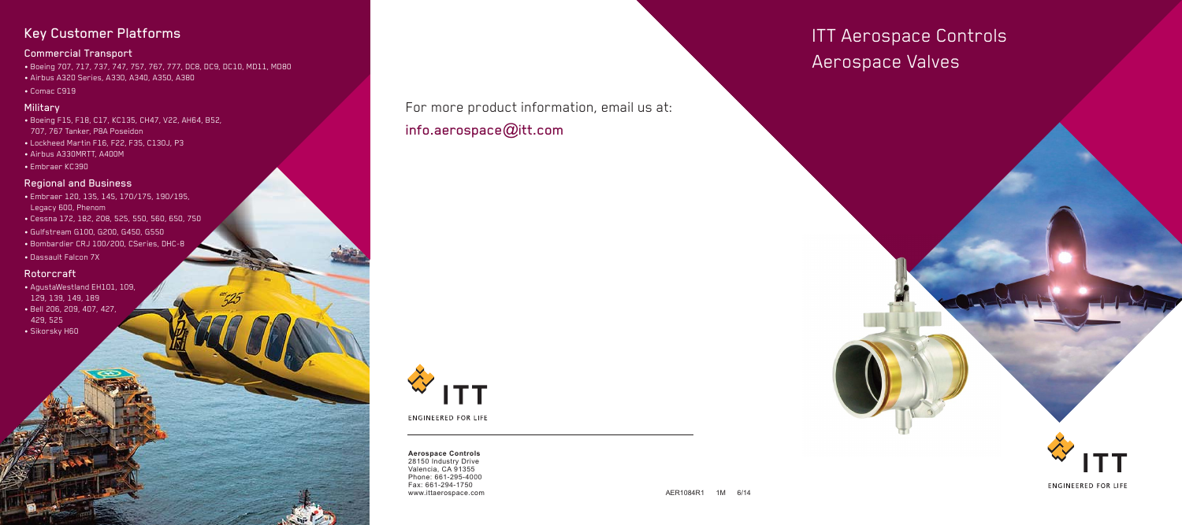ITT Aerospace Controls Aerospace Valves

**ENGINEERED FOR LIFE** 

## Key Customer Platforms

### Commercial Transport

- Boeing 707, 717, 737, 747, 757, 767, 777, DC8, DC9, DC10, MD11, MD80
- Airbus A320 Series, A330, A340, A350, A380
- Comac C919

#### **Military**

- Boeing F15, F18, C17, KC135, CH47, V22, AH64, B52, 707, 767 Tanker, P8A Poseidon
- Lockheed Martin F16, F22, F35, C130J, P3
- Airbus A330MRTT, A400M
- Embraer KC390

28150 Industry Drive Valencia, CA 91355 Phone: 661-295-4000 Fax: 661-294-1750 www.ittaerospace.com and a settlement of the settlement of the AER1084R1 and AER1084R1 and AER1084R1 and AER1084R1 and AER1084R1 and AER1084R1 and AER1084R1 and AER1084R1 and AER1084R1 and AER1084R1 and AER1084R1 and AER10

### Regional and Business

For more product information, email us at: info.aerospace $@$ itt.com



**ENGINEERED FOR LIFE** 

- Embraer 120, 135, 145, 170/175, 190/195, Legacy 600, Phenom
- Cessna 172, 182, 208, 525, 550, 560, 650, 750
- Gulfstream G100, G200, G450, G550
- Bombardier CRJ 100/200, CSeries, DHC-8
- Dassault Falcon 7X

### Rotorcraft

- AgustaWestland EH101, 109, 129, 139, 149, 189
- Bell 206, 209, 407, 427, 429, 525
- Sikorsky H60

#### **Aerospace Controls**